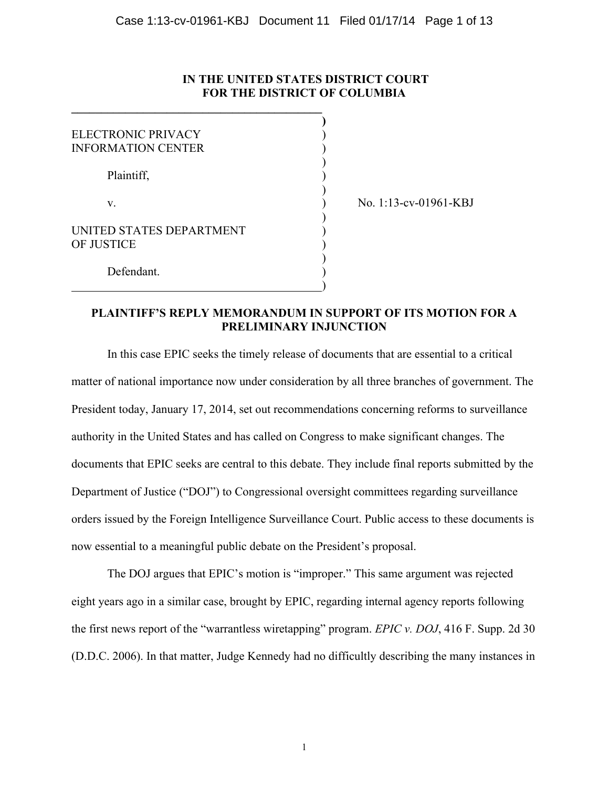# **IN THE UNITED STATES DISTRICT COURT FOR THE DISTRICT OF COLUMBIA**

**)**

)

)

| ELECTRONIC PRIVACY<br><b>INFORMATION CENTER</b> |  |
|-------------------------------------------------|--|
| Plaintiff,                                      |  |
| V.                                              |  |
| UNITED STATES DEPARTMENT<br>OF JUSTICE          |  |
| Defendant.                                      |  |

**\_\_\_\_\_\_\_\_\_\_\_\_\_\_\_\_\_\_\_\_\_\_\_\_\_\_\_\_\_\_\_\_\_\_\_\_\_\_\_\_\_\_**

) No. 1:13-cv-01961-KBJ

# **PLAINTIFF'S REPLY MEMORANDUM IN SUPPORT OF ITS MOTION FOR A PRELIMINARY INJUNCTION**

In this case EPIC seeks the timely release of documents that are essential to a critical matter of national importance now under consideration by all three branches of government. The President today, January 17, 2014, set out recommendations concerning reforms to surveillance authority in the United States and has called on Congress to make significant changes. The documents that EPIC seeks are central to this debate. They include final reports submitted by the Department of Justice ("DOJ") to Congressional oversight committees regarding surveillance orders issued by the Foreign Intelligence Surveillance Court. Public access to these documents is now essential to a meaningful public debate on the President's proposal.

The DOJ argues that EPIC's motion is "improper." This same argument was rejected eight years ago in a similar case, brought by EPIC, regarding internal agency reports following the first news report of the "warrantless wiretapping" program. *EPIC v. DOJ*, 416 F. Supp. 2d 30 (D.D.C. 2006). In that matter, Judge Kennedy had no difficultly describing the many instances in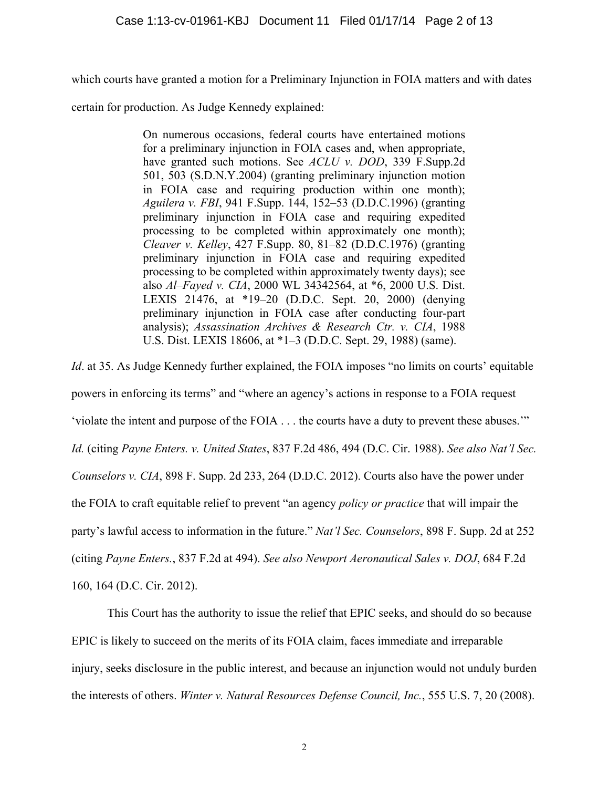which courts have granted a motion for a Preliminary Injunction in FOIA matters and with dates

certain for production. As Judge Kennedy explained:

On numerous occasions, federal courts have entertained motions for a preliminary injunction in FOIA cases and, when appropriate, have granted such motions. See *ACLU v. DOD*, 339 F.Supp.2d 501, 503 (S.D.N.Y.2004) (granting preliminary injunction motion in FOIA case and requiring production within one month); *Aguilera v. FBI*, 941 F.Supp. 144, 152–53 (D.D.C.1996) (granting preliminary injunction in FOIA case and requiring expedited processing to be completed within approximately one month); *Cleaver v. Kelley*, 427 F.Supp. 80, 81–82 (D.D.C.1976) (granting preliminary injunction in FOIA case and requiring expedited processing to be completed within approximately twenty days); see also *Al–Fayed v. CIA*, 2000 WL 34342564, at \*6, 2000 U.S. Dist. LEXIS 21476, at \*19–20 (D.D.C. Sept. 20, 2000) (denying preliminary injunction in FOIA case after conducting four-part analysis); *Assassination Archives & Research Ctr. v. CIA*, 1988 U.S. Dist. LEXIS 18606, at \*1–3 (D.D.C. Sept. 29, 1988) (same).

*Id.* at 35. As Judge Kennedy further explained, the FOIA imposes "no limits on courts' equitable powers in enforcing its terms" and "where an agency's actions in response to a FOIA request 'violate the intent and purpose of the FOIA . . . the courts have a duty to prevent these abuses.'" *Id.* (citing *Payne Enters. v. United States*, 837 F.2d 486, 494 (D.C. Cir. 1988). *See also Nat'l Sec. Counselors v. CIA*, 898 F. Supp. 2d 233, 264 (D.D.C. 2012). Courts also have the power under the FOIA to craft equitable relief to prevent "an agency *policy or practice* that will impair the party's lawful access to information in the future." *Nat'l Sec. Counselors*, 898 F. Supp. 2d at 252 (citing *Payne Enters.*, 837 F.2d at 494). *See also Newport Aeronautical Sales v. DOJ*, 684 F.2d 160, 164 (D.C. Cir. 2012).

This Court has the authority to issue the relief that EPIC seeks, and should do so because EPIC is likely to succeed on the merits of its FOIA claim, faces immediate and irreparable injury, seeks disclosure in the public interest, and because an injunction would not unduly burden the interests of others. *Winter v. Natural Resources Defense Council, Inc.*, 555 U.S. 7, 20 (2008).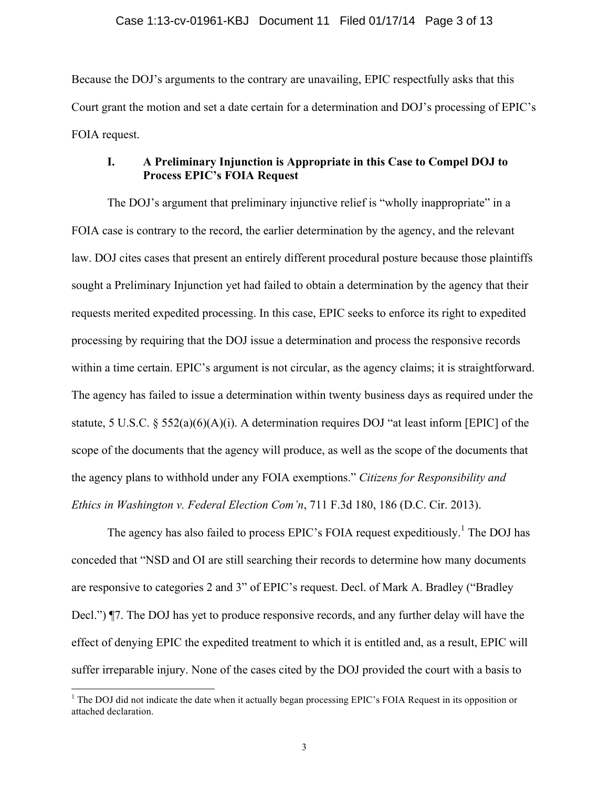Because the DOJ's arguments to the contrary are unavailing, EPIC respectfully asks that this Court grant the motion and set a date certain for a determination and DOJ's processing of EPIC's FOIA request.

# **I. A Preliminary Injunction is Appropriate in this Case to Compel DOJ to Process EPIC's FOIA Request**

The DOJ's argument that preliminary injunctive relief is "wholly inappropriate" in a FOIA case is contrary to the record, the earlier determination by the agency, and the relevant law. DOJ cites cases that present an entirely different procedural posture because those plaintiffs sought a Preliminary Injunction yet had failed to obtain a determination by the agency that their requests merited expedited processing. In this case, EPIC seeks to enforce its right to expedited processing by requiring that the DOJ issue a determination and process the responsive records within a time certain. EPIC's argument is not circular, as the agency claims; it is straightforward. The agency has failed to issue a determination within twenty business days as required under the statute, 5 U.S.C. § 552(a)(6)(A)(i). A determination requires DOJ "at least inform [EPIC] of the scope of the documents that the agency will produce, as well as the scope of the documents that the agency plans to withhold under any FOIA exemptions." *Citizens for Responsibility and Ethics in Washington v. Federal Election Com'n*, 711 F.3d 180, 186 (D.C. Cir. 2013).

The agency has also failed to process EPIC's FOIA request expeditiously.<sup>1</sup> The DOJ has conceded that "NSD and OI are still searching their records to determine how many documents are responsive to categories 2 and 3" of EPIC's request. Decl. of Mark A. Bradley ("Bradley Decl.") ¶7. The DOJ has yet to produce responsive records, and any further delay will have the effect of denying EPIC the expedited treatment to which it is entitled and, as a result, EPIC will suffer irreparable injury. None of the cases cited by the DOJ provided the court with a basis to

<sup>&</sup>lt;sup>1</sup> The DOJ did not indicate the date when it actually began processing EPIC's FOIA Request in its opposition or attached declaration.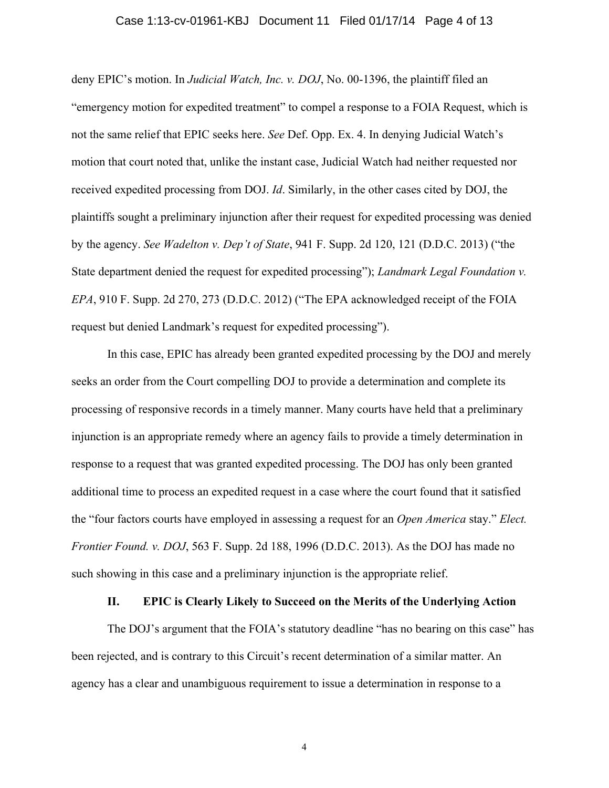#### Case 1:13-cv-01961-KBJ Document 11 Filed 01/17/14 Page 4 of 13

deny EPIC's motion. In *Judicial Watch, Inc. v. DOJ*, No. 00-1396, the plaintiff filed an "emergency motion for expedited treatment" to compel a response to a FOIA Request, which is not the same relief that EPIC seeks here. *See* Def. Opp. Ex. 4. In denying Judicial Watch's motion that court noted that, unlike the instant case, Judicial Watch had neither requested nor received expedited processing from DOJ. *Id*. Similarly, in the other cases cited by DOJ, the plaintiffs sought a preliminary injunction after their request for expedited processing was denied by the agency. *See Wadelton v. Dep't of State*, 941 F. Supp. 2d 120, 121 (D.D.C. 2013) ("the State department denied the request for expedited processing"); *Landmark Legal Foundation v. EPA*, 910 F. Supp. 2d 270, 273 (D.D.C. 2012) ("The EPA acknowledged receipt of the FOIA request but denied Landmark's request for expedited processing").

In this case, EPIC has already been granted expedited processing by the DOJ and merely seeks an order from the Court compelling DOJ to provide a determination and complete its processing of responsive records in a timely manner. Many courts have held that a preliminary injunction is an appropriate remedy where an agency fails to provide a timely determination in response to a request that was granted expedited processing. The DOJ has only been granted additional time to process an expedited request in a case where the court found that it satisfied the "four factors courts have employed in assessing a request for an *Open America* stay." *Elect. Frontier Found. v. DOJ*, 563 F. Supp. 2d 188, 1996 (D.D.C. 2013). As the DOJ has made no such showing in this case and a preliminary injunction is the appropriate relief.

### **II. EPIC is Clearly Likely to Succeed on the Merits of the Underlying Action**

The DOJ's argument that the FOIA's statutory deadline "has no bearing on this case" has been rejected, and is contrary to this Circuit's recent determination of a similar matter. An agency has a clear and unambiguous requirement to issue a determination in response to a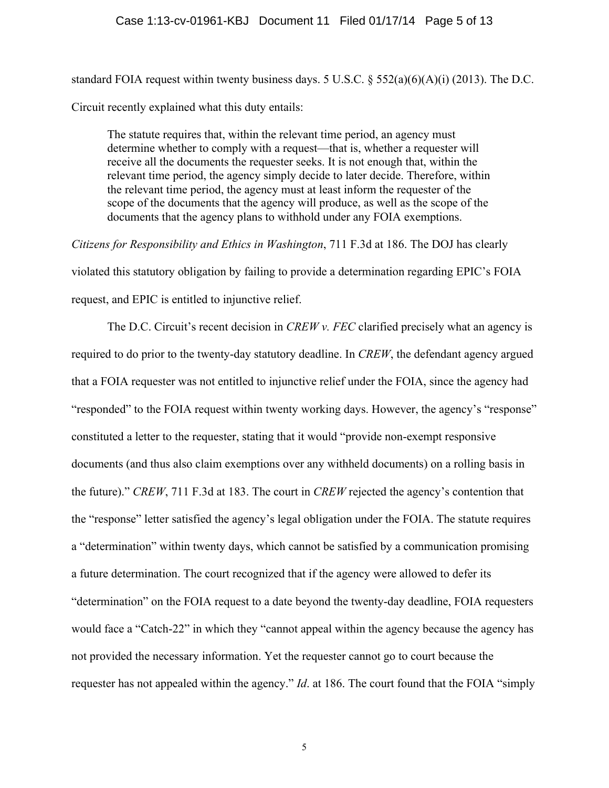#### Case 1:13-cv-01961-KBJ Document 11 Filed 01/17/14 Page 5 of 13

standard FOIA request within twenty business days. 5 U.S.C. § 552(a)(6)(A)(i) (2013). The D.C. Circuit recently explained what this duty entails:

The statute requires that, within the relevant time period, an agency must determine whether to comply with a request—that is, whether a requester will receive all the documents the requester seeks. It is not enough that, within the relevant time period, the agency simply decide to later decide. Therefore, within the relevant time period, the agency must at least inform the requester of the scope of the documents that the agency will produce, as well as the scope of the documents that the agency plans to withhold under any FOIA exemptions.

*Citizens for Responsibility and Ethics in Washington*, 711 F.3d at 186. The DOJ has clearly violated this statutory obligation by failing to provide a determination regarding EPIC's FOIA request, and EPIC is entitled to injunctive relief.

The D.C. Circuit's recent decision in *CREW v. FEC* clarified precisely what an agency is required to do prior to the twenty-day statutory deadline. In *CREW*, the defendant agency argued that a FOIA requester was not entitled to injunctive relief under the FOIA, since the agency had "responded" to the FOIA request within twenty working days. However, the agency's "response" constituted a letter to the requester, stating that it would "provide non-exempt responsive documents (and thus also claim exemptions over any withheld documents) on a rolling basis in the future)." *CREW*, 711 F.3d at 183. The court in *CREW* rejected the agency's contention that the "response" letter satisfied the agency's legal obligation under the FOIA. The statute requires a "determination" within twenty days, which cannot be satisfied by a communication promising a future determination. The court recognized that if the agency were allowed to defer its "determination" on the FOIA request to a date beyond the twenty-day deadline, FOIA requesters would face a "Catch-22" in which they "cannot appeal within the agency because the agency has not provided the necessary information. Yet the requester cannot go to court because the requester has not appealed within the agency." *Id*. at 186. The court found that the FOIA "simply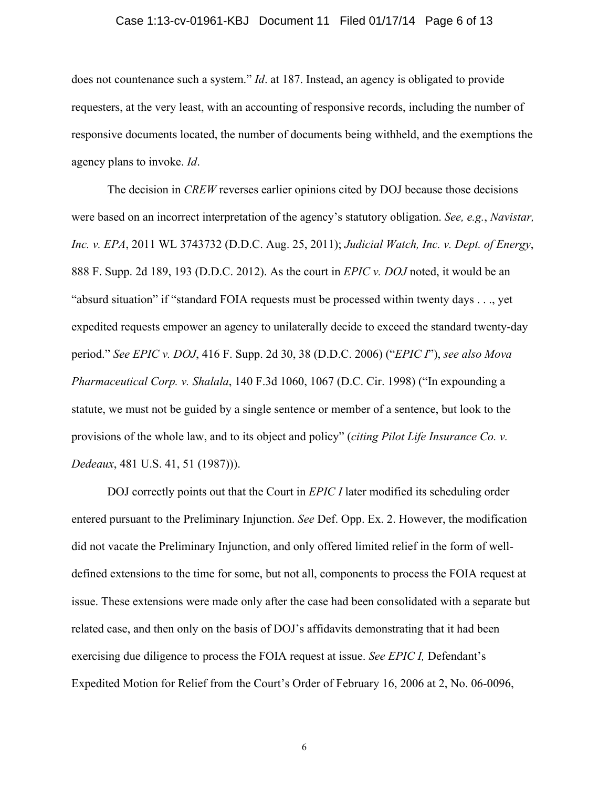#### Case 1:13-cv-01961-KBJ Document 11 Filed 01/17/14 Page 6 of 13

does not countenance such a system." *Id*. at 187. Instead, an agency is obligated to provide requesters, at the very least, with an accounting of responsive records, including the number of responsive documents located, the number of documents being withheld, and the exemptions the agency plans to invoke. *Id*.

The decision in *CREW* reverses earlier opinions cited by DOJ because those decisions were based on an incorrect interpretation of the agency's statutory obligation. *See, e.g.*, *Navistar, Inc. v. EPA*, 2011 WL 3743732 (D.D.C. Aug. 25, 2011); *Judicial Watch, Inc. v. Dept. of Energy*, 888 F. Supp. 2d 189, 193 (D.D.C. 2012). As the court in *EPIC v. DOJ* noted, it would be an "absurd situation" if "standard FOIA requests must be processed within twenty days . . ., yet expedited requests empower an agency to unilaterally decide to exceed the standard twenty-day period." *See EPIC v. DOJ*, 416 F. Supp. 2d 30, 38 (D.D.C. 2006) ("*EPIC I*"), *see also Mova Pharmaceutical Corp. v. Shalala*, 140 F.3d 1060, 1067 (D.C. Cir. 1998) ("In expounding a statute, we must not be guided by a single sentence or member of a sentence, but look to the provisions of the whole law, and to its object and policy" (*citing Pilot Life Insurance Co. v. Dedeaux*, 481 U.S. 41, 51 (1987))).

DOJ correctly points out that the Court in *EPIC I* later modified its scheduling order entered pursuant to the Preliminary Injunction. *See* Def. Opp. Ex. 2. However, the modification did not vacate the Preliminary Injunction, and only offered limited relief in the form of welldefined extensions to the time for some, but not all, components to process the FOIA request at issue. These extensions were made only after the case had been consolidated with a separate but related case, and then only on the basis of DOJ's affidavits demonstrating that it had been exercising due diligence to process the FOIA request at issue. *See EPIC I,* Defendant's Expedited Motion for Relief from the Court's Order of February 16, 2006 at 2, No. 06-0096,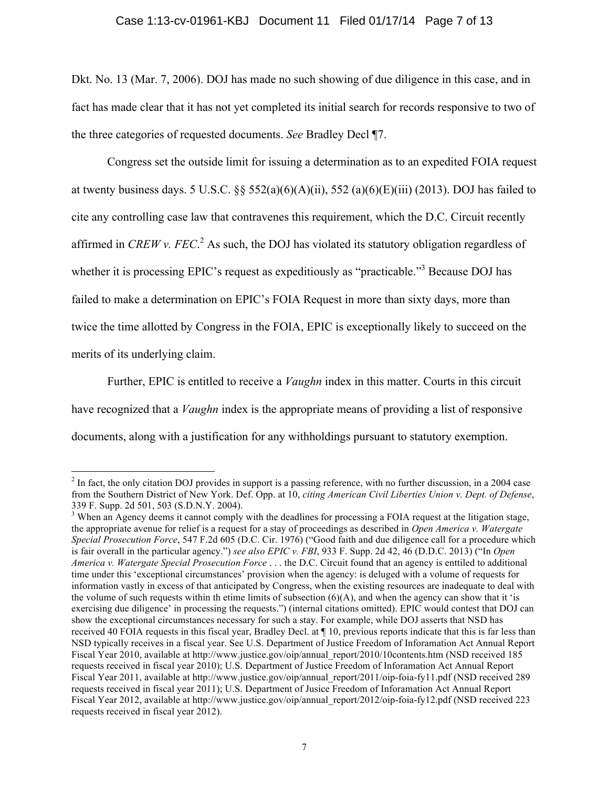# Case 1:13-cv-01961-KBJ Document 11 Filed 01/17/14 Page 7 of 13

Dkt. No. 13 (Mar. 7, 2006). DOJ has made no such showing of due diligence in this case, and in fact has made clear that it has not yet completed its initial search for records responsive to two of the three categories of requested documents. *See* Bradley Decl ¶7.

Congress set the outside limit for issuing a determination as to an expedited FOIA request at twenty business days. 5 U.S.C.  $\S$   $\S$   $552(a)(6)(A)(ii)$ ,  $552(a)(6)(E)(iii)$  (2013). DOJ has failed to cite any controlling case law that contravenes this requirement, which the D.C. Circuit recently affirmed in *CREW v. FEC*. <sup>2</sup> As such, the DOJ has violated its statutory obligation regardless of whether it is processing EPIC's request as expeditiously as "practicable."<sup>3</sup> Because DOJ has failed to make a determination on EPIC's FOIA Request in more than sixty days, more than twice the time allotted by Congress in the FOIA, EPIC is exceptionally likely to succeed on the merits of its underlying claim.

Further, EPIC is entitled to receive a *Vaughn* index in this matter. Courts in this circuit have recognized that a *Vaughn* index is the appropriate means of providing a list of responsive documents, along with a justification for any withholdings pursuant to statutory exemption.

 $2 \text{ In fact, the only citation DOI provides in support is a passing reference, with no further discussion, in a 2004 case.}$ from the Southern District of New York. Def. Opp. at 10, *citing American Civil Liberties Union v. Dept. of Defense*, 339 F. Supp. 2d 501, 503 (S.D.N.Y. 2004).

<sup>&</sup>lt;sup>3</sup> When an Agency deems it cannot comply with the deadlines for processing a FOIA request at the litigation stage, the appropriate avenue for relief is a request for a stay of proceedings as described in *Open America v. Watergate Special Prosecution Force*, 547 F.2d 605 (D.C. Cir. 1976) ("Good faith and due diligence call for a procedure which is fair overall in the particular agency.") *see also EPIC v. FBI*, 933 F. Supp. 2d 42, 46 (D.D.C. 2013) ("In *Open America v. Watergate Special Prosecution Force* . . . the D.C. Circuit found that an agency is enttiled to additional time under this 'exceptional circumstances' provision when the agency: is deluged with a volume of requests for information vastly in excess of that anticipated by Congress, when the existing resources are inadequate to deal with the volume of such requests within th etime limits of subsection  $(6)(A)$ , and when the agency can show that it 'is exercising due diligence' in processing the requests.") (internal citations omitted). EPIC would contest that DOJ can show the exceptional circumstances necessary for such a stay. For example, while DOJ asserts that NSD has received 40 FOIA requests in this fiscal year, Bradley Decl. at ¶ 10, previous reports indicate that this is far less than NSD typically receives in a fiscal year. See U.S. Department of Justice Freedom of Inforamation Act Annual Report Fiscal Year 2010, available at http://www.justice.gov/oip/annual\_report/2010/10contents.htm (NSD received 185 requests received in fiscal year 2010); U.S. Department of Justice Freedom of Inforamation Act Annual Report Fiscal Year 2011, available at http://www.justice.gov/oip/annual\_report/2011/oip-foia-fy11.pdf (NSD received 289 requests received in fiscal year 2011); U.S. Department of Jusice Freedom of Inforamation Act Annual Report Fiscal Year 2012, available at http://www.justice.gov/oip/annual\_report/2012/oip-foia-fy12.pdf (NSD received 223 requests received in fiscal year 2012).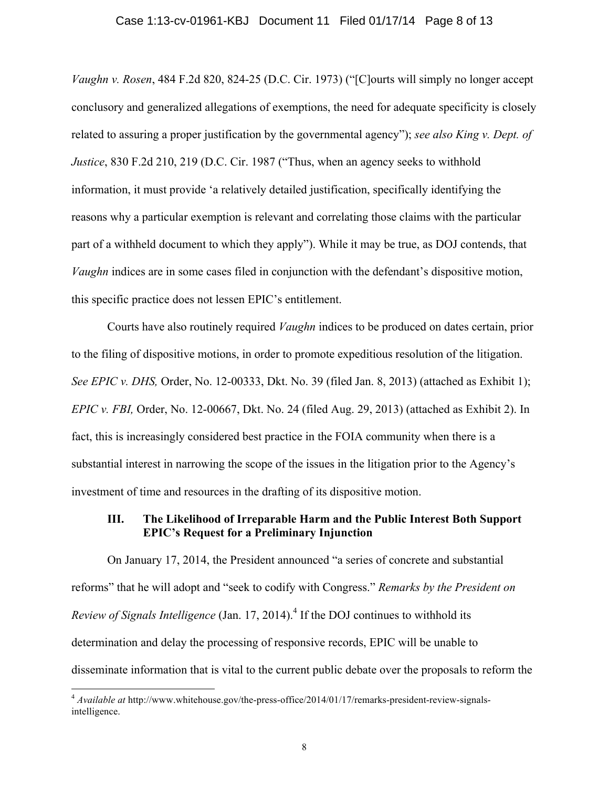#### Case 1:13-cv-01961-KBJ Document 11 Filed 01/17/14 Page 8 of 13

*Vaughn v. Rosen*, 484 F.2d 820, 824-25 (D.C. Cir. 1973) ("[C]ourts will simply no longer accept conclusory and generalized allegations of exemptions, the need for adequate specificity is closely related to assuring a proper justification by the governmental agency"); *see also King v. Dept. of Justice*, 830 F.2d 210, 219 (D.C. Cir. 1987 ("Thus, when an agency seeks to withhold information, it must provide 'a relatively detailed justification, specifically identifying the reasons why a particular exemption is relevant and correlating those claims with the particular part of a withheld document to which they apply"). While it may be true, as DOJ contends, that *Vaughn* indices are in some cases filed in conjunction with the defendant's dispositive motion, this specific practice does not lessen EPIC's entitlement.

Courts have also routinely required *Vaughn* indices to be produced on dates certain, prior to the filing of dispositive motions, in order to promote expeditious resolution of the litigation. *See EPIC v. DHS,* Order, No. 12-00333, Dkt. No. 39 (filed Jan. 8, 2013) (attached as Exhibit 1); *EPIC v. FBI,* Order, No. 12-00667, Dkt. No. 24 (filed Aug. 29, 2013) (attached as Exhibit 2). In fact, this is increasingly considered best practice in the FOIA community when there is a substantial interest in narrowing the scope of the issues in the litigation prior to the Agency's investment of time and resources in the drafting of its dispositive motion.

## **III. The Likelihood of Irreparable Harm and the Public Interest Both Support EPIC's Request for a Preliminary Injunction**

On January 17, 2014, the President announced "a series of concrete and substantial reforms" that he will adopt and "seek to codify with Congress." *Remarks by the President on Review of Signals Intelligence* (Jan. 17, 2014).<sup>4</sup> If the DOJ continues to withhold its determination and delay the processing of responsive records, EPIC will be unable to disseminate information that is vital to the current public debate over the proposals to reform the

 <sup>4</sup> *Available at* http://www.whitehouse.gov/the-press-office/2014/01/17/remarks-president-review-signalsintelligence.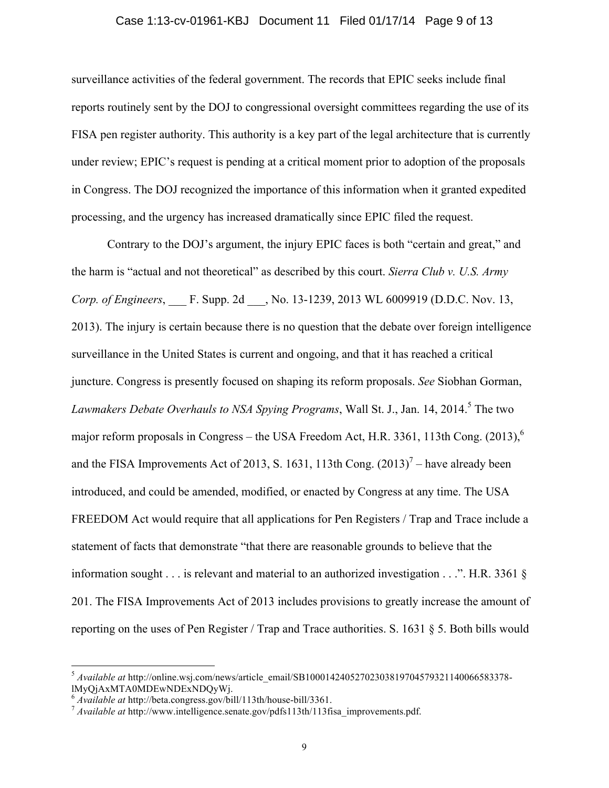#### Case 1:13-cv-01961-KBJ Document 11 Filed 01/17/14 Page 9 of 13

surveillance activities of the federal government. The records that EPIC seeks include final reports routinely sent by the DOJ to congressional oversight committees regarding the use of its FISA pen register authority. This authority is a key part of the legal architecture that is currently under review; EPIC's request is pending at a critical moment prior to adoption of the proposals in Congress. The DOJ recognized the importance of this information when it granted expedited processing, and the urgency has increased dramatically since EPIC filed the request.

Contrary to the DOJ's argument, the injury EPIC faces is both "certain and great," and the harm is "actual and not theoretical" as described by this court. *Sierra Club v. U.S. Army Corp. of Engineers*, F. Supp. 2d , No. 13-1239, 2013 WL 6009919 (D.D.C. Nov. 13, 2013). The injury is certain because there is no question that the debate over foreign intelligence surveillance in the United States is current and ongoing, and that it has reached a critical juncture. Congress is presently focused on shaping its reform proposals. *See* Siobhan Gorman, *Lawmakers Debate Overhauls to NSA Spying Programs, Wall St. J., Jan. 14, 2014.*<sup>5</sup> The two major reform proposals in Congress – the USA Freedom Act, H.R. 3361, 113th Cong.  $(2013)$ <sup>6</sup> and the FISA Improvements Act of 2013, S. 1631, 113th Cong.  $(2013)^7$  – have already been introduced, and could be amended, modified, or enacted by Congress at any time. The USA FREEDOM Act would require that all applications for Pen Registers / Trap and Trace include a statement of facts that demonstrate "that there are reasonable grounds to believe that the information sought . . . is relevant and material to an authorized investigation . . .". H.R. 3361 § 201. The FISA Improvements Act of 2013 includes provisions to greatly increase the amount of reporting on the uses of Pen Register / Trap and Trace authorities. S. 1631 § 5. Both bills would

<sup>&</sup>lt;sup>5</sup> Available at http://online.wsj.com/news/article\_email/SB10001424052702303819704579321140066583378-<br>IMvOjAxMTA0MDEwNDExNDOvWj.

<sup>&</sup>lt;sup>6</sup> *Available at* http://beta.congress.gov/bill/113th/house-bill/3361.<br><sup>7</sup> *Available at* http://www.intelligence.senate.gov/pdfs113th/113fisa\_improvements.pdf.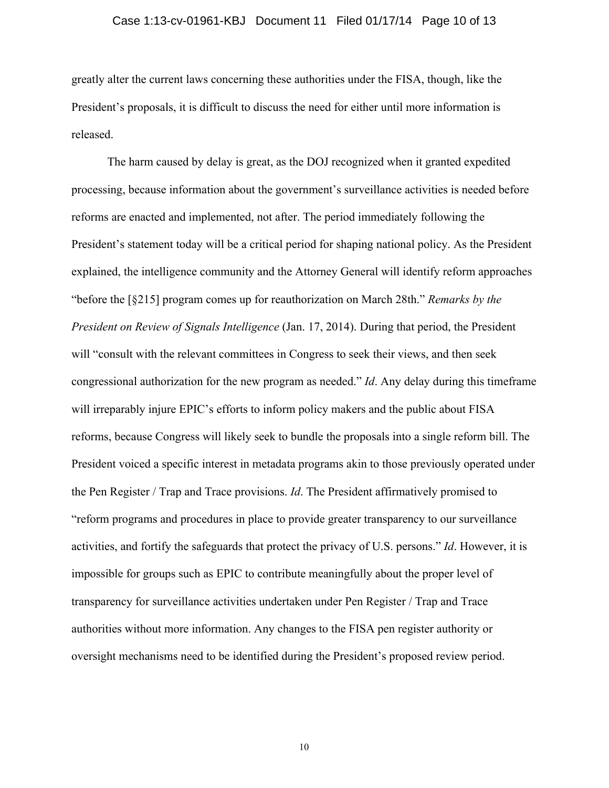#### Case 1:13-cv-01961-KBJ Document 11 Filed 01/17/14 Page 10 of 13

greatly alter the current laws concerning these authorities under the FISA, though, like the President's proposals, it is difficult to discuss the need for either until more information is released.

The harm caused by delay is great, as the DOJ recognized when it granted expedited processing, because information about the government's surveillance activities is needed before reforms are enacted and implemented, not after. The period immediately following the President's statement today will be a critical period for shaping national policy. As the President explained, the intelligence community and the Attorney General will identify reform approaches "before the [§215] program comes up for reauthorization on March 28th." *Remarks by the President on Review of Signals Intelligence* (Jan. 17, 2014). During that period, the President will "consult with the relevant committees in Congress to seek their views, and then seek congressional authorization for the new program as needed." *Id*. Any delay during this timeframe will irreparably injure EPIC's efforts to inform policy makers and the public about FISA reforms, because Congress will likely seek to bundle the proposals into a single reform bill. The President voiced a specific interest in metadata programs akin to those previously operated under the Pen Register / Trap and Trace provisions. *Id*. The President affirmatively promised to "reform programs and procedures in place to provide greater transparency to our surveillance activities, and fortify the safeguards that protect the privacy of U.S. persons." *Id*. However, it is impossible for groups such as EPIC to contribute meaningfully about the proper level of transparency for surveillance activities undertaken under Pen Register / Trap and Trace authorities without more information. Any changes to the FISA pen register authority or oversight mechanisms need to be identified during the President's proposed review period.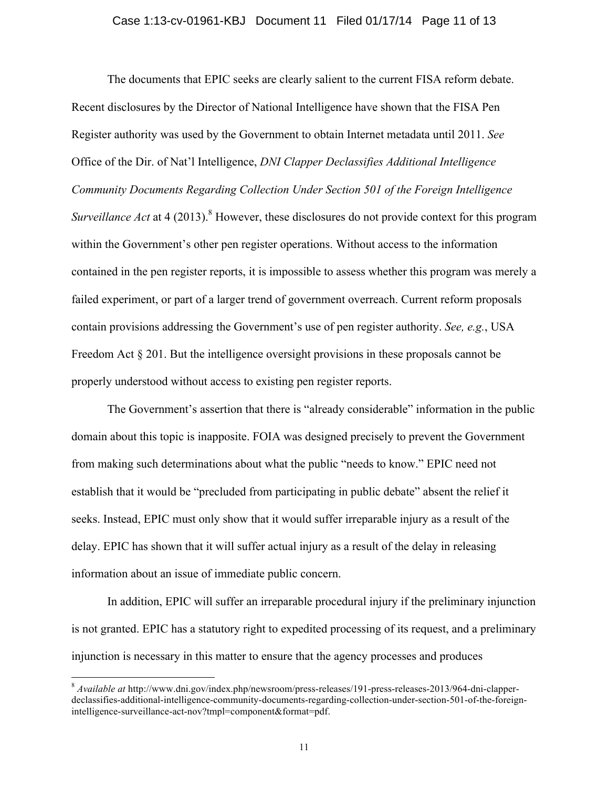#### Case 1:13-cv-01961-KBJ Document 11 Filed 01/17/14 Page 11 of 13

The documents that EPIC seeks are clearly salient to the current FISA reform debate. Recent disclosures by the Director of National Intelligence have shown that the FISA Pen Register authority was used by the Government to obtain Internet metadata until 2011. *See*  Office of the Dir. of Nat'l Intelligence, *DNI Clapper Declassifies Additional Intelligence Community Documents Regarding Collection Under Section 501 of the Foreign Intelligence Surveillance Act* at 4 (2013).<sup>8</sup> However, these disclosures do not provide context for this program within the Government's other pen register operations. Without access to the information contained in the pen register reports, it is impossible to assess whether this program was merely a failed experiment, or part of a larger trend of government overreach. Current reform proposals contain provisions addressing the Government's use of pen register authority. *See, e.g.*, USA Freedom Act § 201. But the intelligence oversight provisions in these proposals cannot be properly understood without access to existing pen register reports.

The Government's assertion that there is "already considerable" information in the public domain about this topic is inapposite. FOIA was designed precisely to prevent the Government from making such determinations about what the public "needs to know." EPIC need not establish that it would be "precluded from participating in public debate" absent the relief it seeks. Instead, EPIC must only show that it would suffer irreparable injury as a result of the delay. EPIC has shown that it will suffer actual injury as a result of the delay in releasing information about an issue of immediate public concern.

In addition, EPIC will suffer an irreparable procedural injury if the preliminary injunction is not granted. EPIC has a statutory right to expedited processing of its request, and a preliminary injunction is necessary in this matter to ensure that the agency processes and produces

 <sup>8</sup> *Available at* http://www.dni.gov/index.php/newsroom/press-releases/191-press-releases-2013/964-dni-clapperdeclassifies-additional-intelligence-community-documents-regarding-collection-under-section-501-of-the-foreignintelligence-surveillance-act-nov?tmpl=component&format=pdf.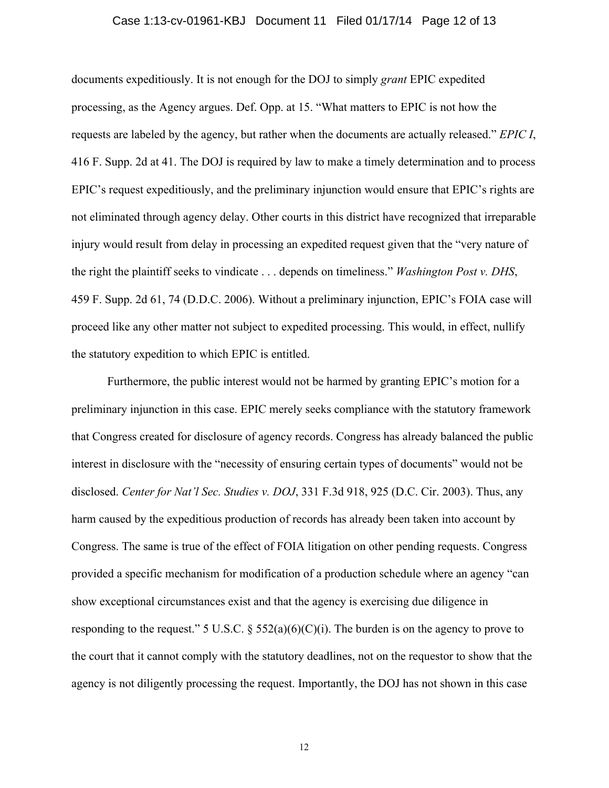#### Case 1:13-cv-01961-KBJ Document 11 Filed 01/17/14 Page 12 of 13

documents expeditiously. It is not enough for the DOJ to simply *grant* EPIC expedited processing, as the Agency argues. Def. Opp. at 15. "What matters to EPIC is not how the requests are labeled by the agency, but rather when the documents are actually released." *EPIC I*, 416 F. Supp. 2d at 41. The DOJ is required by law to make a timely determination and to process EPIC's request expeditiously, and the preliminary injunction would ensure that EPIC's rights are not eliminated through agency delay. Other courts in this district have recognized that irreparable injury would result from delay in processing an expedited request given that the "very nature of the right the plaintiff seeks to vindicate . . . depends on timeliness." *Washington Post v. DHS*, 459 F. Supp. 2d 61, 74 (D.D.C. 2006). Without a preliminary injunction, EPIC's FOIA case will proceed like any other matter not subject to expedited processing. This would, in effect, nullify the statutory expedition to which EPIC is entitled.

Furthermore, the public interest would not be harmed by granting EPIC's motion for a preliminary injunction in this case. EPIC merely seeks compliance with the statutory framework that Congress created for disclosure of agency records. Congress has already balanced the public interest in disclosure with the "necessity of ensuring certain types of documents" would not be disclosed. *Center for Nat'l Sec. Studies v. DOJ*, 331 F.3d 918, 925 (D.C. Cir. 2003). Thus, any harm caused by the expeditious production of records has already been taken into account by Congress. The same is true of the effect of FOIA litigation on other pending requests. Congress provided a specific mechanism for modification of a production schedule where an agency "can show exceptional circumstances exist and that the agency is exercising due diligence in responding to the request." 5 U.S.C.  $\S$  552(a)(6)(C)(i). The burden is on the agency to prove to the court that it cannot comply with the statutory deadlines, not on the requestor to show that the agency is not diligently processing the request. Importantly, the DOJ has not shown in this case